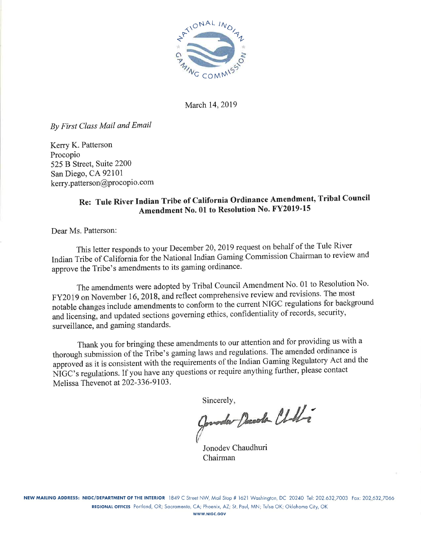

March 14, 2019

By First Class Mail and Email

Kerry K. Patterson Procopio 525 B Street, Suite 2200 San Diego, CA 92101 kerry.patterson@procopio.com

## Re: Tule River Indian Tribe of California Ordinance Amendment, Tribal Council Amendment No. 01 to Resolution No. FY2019-15

Dear Ms. Patterson:

This letter responds to your December 20, 2019 request on behalf of the Tule River Indian Tribe of California for the National Indian Gaming Commission Chairman to review and approve the Tribe's amendments to its gaming ordinance.

The amendments were adopted by Tribal Council Amendment No. 01 to Resolution No. FY2019 on November 16, 2018, and reflect comprehensive review and revisions. The most notable changes include amendments to conform to the current NIGC regulations for background and licensing, and updated sections governing ethics, confidentiality of records, security, surveillance, and gaming standards.

Thank you for bringing these amendments to our attention and for providing us with a thorough submission of the Tribe's gaming laws and regulations. The amended ordinance is approved as it is consistent with the requirements of the Indian Gaming Regulatory Act and the NIGC's regulations. If you have any questions or require anything further, please contact Melissa Thevenot at 202-336-9103.

Sincerely,

Junder Deedle Chilli

Jonodey Chaudhuri Chairman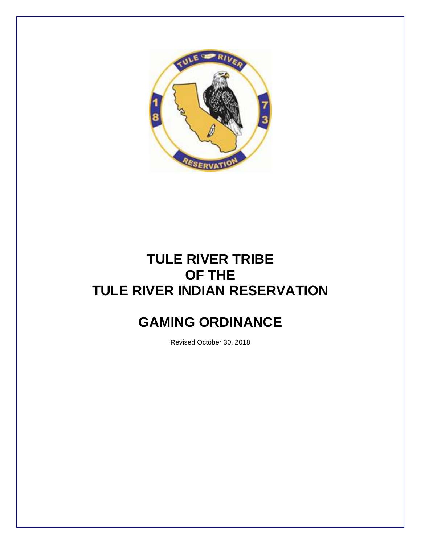

# **TULE RIVER TRIBE OF THE TULE RIVER INDIAN RESERVATION**

# **GAMING ORDINANCE**

Revised October 30, 2018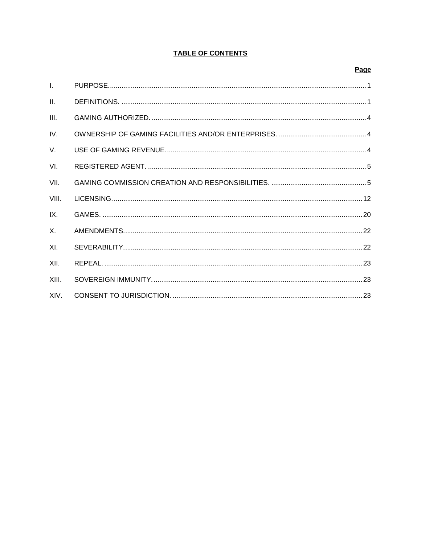#### **TABLE OF CONTENTS**

#### Page

| $\mathbf{L}$ |  |
|--------------|--|
| II.          |  |
| III.         |  |
| IV.          |  |
| V.           |  |
| VI.          |  |
| VII.         |  |
| VIII.        |  |
| IX.          |  |
| $\mathsf{X}$ |  |
| XI.          |  |
| XII.         |  |
| XIII.        |  |
| XIV.         |  |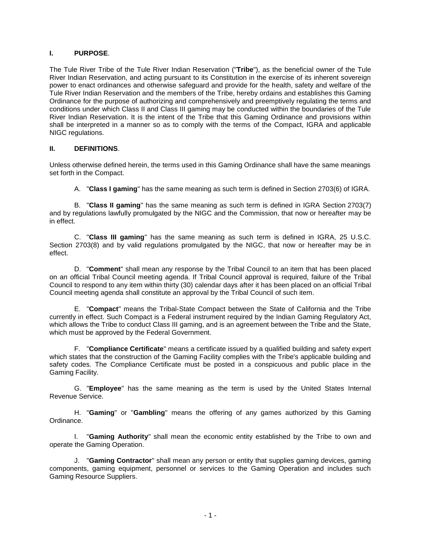#### **I. PURPOSE**.

The Tule River Tribe of the Tule River Indian Reservation ("**Tribe**"), as the beneficial owner of the Tule River Indian Reservation, and acting pursuant to its Constitution in the exercise of its inherent sovereign power to enact ordinances and otherwise safeguard and provide for the health, safety and welfare of the Tule River Indian Reservation and the members of the Tribe, hereby ordains and establishes this Gaming Ordinance for the purpose of authorizing and comprehensively and preemptively regulating the terms and conditions under which Class II and Class III gaming may be conducted within the boundaries of the Tule River Indian Reservation. It is the intent of the Tribe that this Gaming Ordinance and provisions within shall be interpreted in a manner so as to comply with the terms of the Compact, IGRA and applicable NIGC regulations.

#### **II. DEFINITIONS**.

Unless otherwise defined herein, the terms used in this Gaming Ordinance shall have the same meanings set forth in the Compact.

A. "**Class I gaming**" has the same meaning as such term is defined in Section 2703(6) of IGRA.

B. "**Class II gaming**" has the same meaning as such term is defined in IGRA Section 2703(7) and by regulations lawfully promulgated by the NIGC and the Commission, that now or hereafter may be in effect.

C. "**Class III gaming**" has the same meaning as such term is defined in IGRA, 25 U.S.C. Section 2703(8) and by valid regulations promulgated by the NIGC, that now or hereafter may be in effect.

D. "**Comment**" shall mean any response by the Tribal Council to an item that has been placed on an official Tribal Council meeting agenda. If Tribal Council approval is required, failure of the Tribal Council to respond to any item within thirty (30) calendar days after it has been placed on an official Tribal Council meeting agenda shall constitute an approval by the Tribal Council of such item.

E. "**Compact**" means the Tribal-State Compact between the State of California and the Tribe currently in effect. Such Compact is a Federal instrument required by the Indian Gaming Regulatory Act, which allows the Tribe to conduct Class III gaming, and is an agreement between the Tribe and the State, which must be approved by the Federal Government.

F. "**Compliance Certificate**" means a certificate issued by a qualified building and safety expert which states that the construction of the Gaming Facility complies with the Tribe's applicable building and safety codes. The Compliance Certificate must be posted in a conspicuous and public place in the Gaming Facility.

G. "**Employee**" has the same meaning as the term is used by the United States Internal Revenue Service.

H. "**Gaming**" or "**Gambling**" means the offering of any games authorized by this Gaming Ordinance.

I. "**Gaming Authority**" shall mean the economic entity established by the Tribe to own and operate the Gaming Operation.

J. "**Gaming Contractor**" shall mean any person or entity that supplies gaming devices, gaming components, gaming equipment, personnel or services to the Gaming Operation and includes such Gaming Resource Suppliers.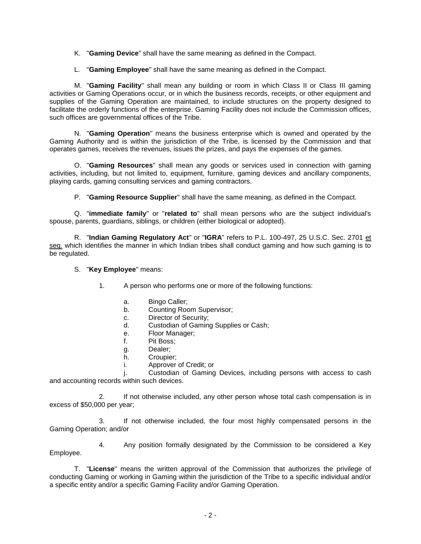K. "**Gaming Device**" shall have the same meaning as defined in the Compact.

L. "**Gaming Employee**" shall have the same meaning as defined in the Compact.

M. "**Gaming Facility**" shall mean any building or room in which Class II or Class III gaming activities or Gaming Operations occur, or in which the business records, receipts, or other equipment and supplies of the Gaming Operation are maintained, to include structures on the property designed to facilitate the orderly functions of the enterprise. Gaming Facility does not include the Commission offices, such offices are governmental offices of the Tribe.

N. "**Gaming Operation**" means the business enterprise which is owned and operated by the Gaming Authority and is within the jurisdiction of the Tribe, is licensed by the Commission and that operates games, receives the revenues, issues the prizes, and pays the expenses of the games.

O. "**Gaming Resources**" shall mean any goods or services used in connection with gaming activities, including, but not limited to, equipment, furniture, gaming devices and ancillary components, playing cards, gaming consulting services and gaming contractors.

P. "**Gaming Resource Supplier**" shall have the same meaning, as defined in the Compact.

Q. "**immediate family**" or "**related to**" shall mean persons who are the subject individual's spouse, parents, guardians, siblings, or children (either biological or adopted).

R. "**Indian Gaming Regulatory Act**" or "**IGRA**" refers to P.L. 100-497, 25 U.S.C. Sec. 2701 et seq. which identifies the manner in which Indian tribes shall conduct gaming and how such gaming is to be regulated.

#### S. "**Key Employee**" means:

1. A person who performs one or more of the following functions:

- a. Bingo Caller;
- b. Counting Room Supervisor;
- c. Director of Security;
- d. Custodian of Gaming Supplies or Cash;
- e. Floor Manager;
- f. Pit Boss;
- g. Dealer;
- h. Croupier;
- i. Approver of Credit; or

j. Custodian of Gaming Devices, including persons with access to cash and accounting records within such devices.

2. If not otherwise included, any other person whose total cash compensation is in excess of \$50,000 per year;

3. If not otherwise included, the four most highly compensated persons in the Gaming Operation; and/or

4. Any position formally designated by the Commission to be considered a Key Employee.

T. "**License**" means the written approval of the Commission that authorizes the privilege of conducting Gaming or working in Gaming within the jurisdiction of the Tribe to a specific individual and/or a specific entity and/or a specific Gaming Facility and/or Gaming Operation.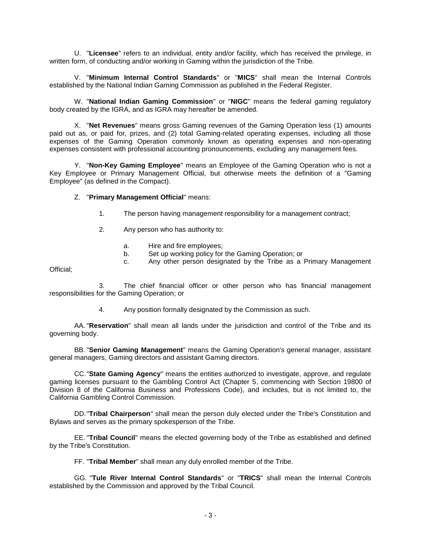U. "**Licensee**" refers to an individual, entity and/or facility, which has received the privilege, in written form, of conducting and/or working in Gaming within the jurisdiction of the Tribe.

V. "**Minimum Internal Control Standards**" or "**MICS**" shall mean the Internal Controls established by the National Indian Gaming Commission as published in the Federal Register.

W. "**National Indian Gaming Commission**" or "**NIGC**" means the federal gaming regulatory body created by the IGRA, and as IGRA may hereafter be amended.

X. "**Net Revenues**" means gross Gaming revenues of the Gaming Operation less (1) amounts paid out as, or paid for, prizes, and (2) total Gaming-related operating expenses, including all those expenses of the Gaming Operation commonly known as operating expenses and non-operating expenses consistent with professional accounting pronouncements, excluding any management fees.

Y. "**Non-Key Gaming Employee**" means an Employee of the Gaming Operation who is not a Key Employee or Primary Management Official, but otherwise meets the definition of a "Gaming Employee" (as defined in the Compact).

#### Z. "**Primary Management Official**" means:

- 1. The person having management responsibility for a management contract;
- 2. Any person who has authority to:
	- a. Hire and fire employees;
	- b. Set up working policy for the Gaming Operation; or
	- c. Any other person designated by the Tribe as a Primary Management

Official;

3. The chief financial officer or other person who has financial management responsibilities for the Gaming Operation; or

4. Any position formally designated by the Commission as such.

AA. "**Reservation**" shall mean all lands under the jurisdiction and control of the Tribe and its governing body.

BB. "**Senior Gaming Management**" means the Gaming Operation's general manager, assistant general managers, Gaming directors and assistant Gaming directors.

CC."**State Gaming Agency**" means the entities authorized to investigate, approve, and regulate gaming licenses pursuant to the Gambling Control Act (Chapter 5, commencing with Section 19800 of Division 8 of the California Business and Professions Code), and includes, but is not limited to, the California Gambling Control Commission.

DD."**Tribal Chairperson**" shall mean the person duly elected under the Tribe's Constitution and Bylaws and serves as the primary spokesperson of the Tribe.

EE. "**Tribal Council**" means the elected governing body of the Tribe as established and defined by the Tribe's Constitution.

FF. "**Tribal Member**" shall mean any duly enrolled member of the Tribe.

GG. "**Tule River Internal Control Standards**" or "**TRICS**" shall mean the Internal Controls established by the Commission and approved by the Tribal Council.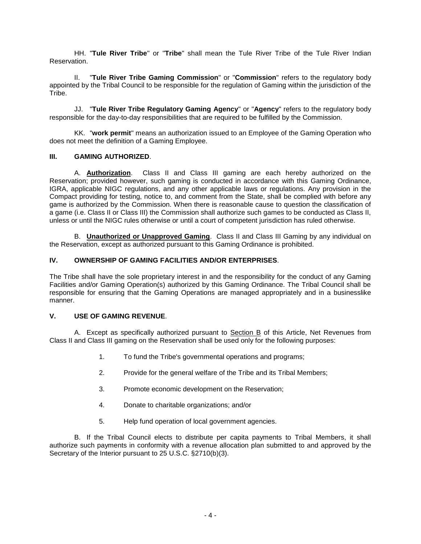HH. "**Tule River Tribe**" or "**Tribe**" shall mean the Tule River Tribe of the Tule River Indian Reservation.

II. "**Tule River Tribe Gaming Commission**" or "**Commission**" refers to the regulatory body appointed by the Tribal Council to be responsible for the regulation of Gaming within the jurisdiction of the Tribe.

JJ. "**Tule River Tribe Regulatory Gaming Agency**" or "**Agency**" refers to the regulatory body responsible for the day-to-day responsibilities that are required to be fulfilled by the Commission.

KK. "**work permit**" means an authorization issued to an Employee of the Gaming Operation who does not meet the definition of a Gaming Employee.

#### **III. GAMING AUTHORIZED**.

A. **Authorization**. Class II and Class III gaming are each hereby authorized on the Reservation; provided however, such gaming is conducted in accordance with this Gaming Ordinance, IGRA, applicable NIGC regulations, and any other applicable laws or regulations. Any provision in the Compact providing for testing, notice to, and comment from the State, shall be complied with before any game is authorized by the Commission. When there is reasonable cause to question the classification of a game (i.e. Class II or Class III) the Commission shall authorize such games to be conducted as Class II, unless or until the NIGC rules otherwise or until a court of competent jurisdiction has ruled otherwise.

B. **Unauthorized or Unapproved Gaming**. Class II and Class III Gaming by any individual on the Reservation, except as authorized pursuant to this Gaming Ordinance is prohibited.

#### **IV. OWNERSHIP OF GAMING FACILITIES AND/OR ENTERPRISES**.

The Tribe shall have the sole proprietary interest in and the responsibility for the conduct of any Gaming Facilities and/or Gaming Operation(s) authorized by this Gaming Ordinance. The Tribal Council shall be responsible for ensuring that the Gaming Operations are managed appropriately and in a businesslike manner.

#### **V. USE OF GAMING REVENUE**.

A. Except as specifically authorized pursuant to Section B of this Article, Net Revenues from Class II and Class III gaming on the Reservation shall be used only for the following purposes:

- 1. To fund the Tribe's governmental operations and programs;
- 2. Provide for the general welfare of the Tribe and its Tribal Members;
- 3. Promote economic development on the Reservation;
- 4. Donate to charitable organizations; and/or
- 5. Help fund operation of local government agencies.

B. If the Tribal Council elects to distribute per capita payments to Tribal Members, it shall authorize such payments in conformity with a revenue allocation plan submitted to and approved by the Secretary of the Interior pursuant to 25 U.S.C. §2710(b)(3).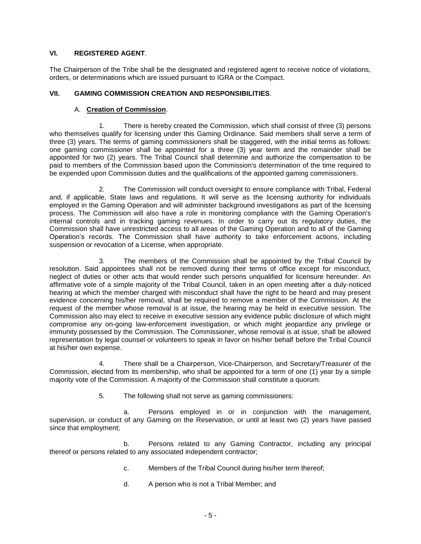#### **VI. REGISTERED AGENT**.

The Chairperson of the Tribe shall be the designated and registered agent to receive notice of violations, orders, or determinations which are issued pursuant to IGRA or the Compact.

#### **VII. GAMING COMMISSION CREATION AND RESPONSIBILITIES**.

#### A. **Creation of Commission**.

1. There is hereby created the Commission, which shall consist of three (3) persons who themselves qualify for licensing under this Gaming Ordinance. Said members shall serve a term of three (3) years. The terms of gaming commissioners shall be staggered, with the initial terms as follows: one gaming commissioner shall be appointed for a three (3) year term and the remainder shall be appointed for two (2) years. The Tribal Council shall determine and authorize the compensation to be paid to members of the Commission based upon the Commission's determination of the time required to be expended upon Commission duties and the qualifications of the appointed gaming commissioners.

2. The Commission will conduct oversight to ensure compliance with Tribal, Federal and, if applicable, State laws and regulations. It will serve as the licensing authority for individuals employed in the Gaming Operation and will administer background investigations as part of the licensing process. The Commission will also have a role in monitoring compliance with the Gaming Operation's internal controls and in tracking gaming revenues. In order to carry out its regulatory duties, the Commission shall have unrestricted access to all areas of the Gaming Operation and to all of the Gaming Operation's records. The Commission shall have authority to take enforcement actions, including suspension or revocation of a License, when appropriate.

3. The members of the Commission shall be appointed by the Tribal Council by resolution. Said appointees shall not be removed during their terms of office except for misconduct, neglect of duties or other acts that would render such persons unqualified for licensure hereunder. An affirmative vote of a simple majority of the Tribal Council, taken in an open meeting after a duly-noticed hearing at which the member charged with misconduct shall have the right to be heard and may present evidence concerning his/her removal, shall be required to remove a member of the Commission. At the request of the member whose removal is at issue, the hearing may be held in executive session. The Commission also may elect to receive in executive session any evidence public disclosure of which might compromise any on-going law-enforcement investigation, or which might jeopardize any privilege or immunity possessed by the Commission. The Commissioner, whose removal is at issue, shall be allowed representation by legal counsel or volunteers to speak in favor on his/her behalf before the Tribal Council at his/her own expense.

4. There shall be a Chairperson, Vice-Chairperson, and Secretary/Treasurer of the Commission, elected from its membership, who shall be appointed for a term of one (1) year by a simple majority vote of the Commission. A majority of the Commission shall constitute a quorum.

5. The following shall not serve as gaming commissioners:

a. Persons employed in or in conjunction with the management, supervision, or conduct of any Gaming on the Reservation, or until at least two (2) years have passed since that employment;

b. Persons related to any Gaming Contractor, including any principal thereof or persons related to any associated independent contractor;

- c. Members of the Tribal Council during his/her term thereof;
- d. A person who is not a Tribal Member; and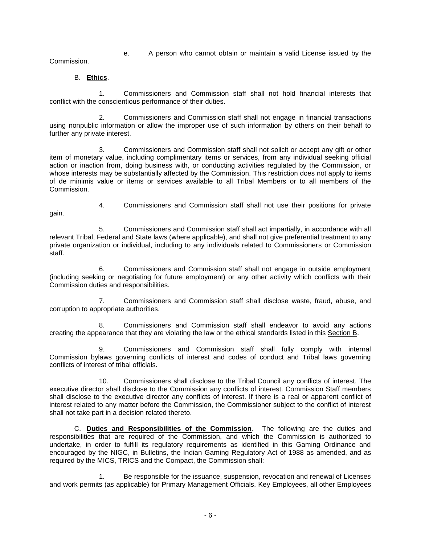e. A person who cannot obtain or maintain a valid License issued by the

Commission.

#### B. **Ethics**.

1. Commissioners and Commission staff shall not hold financial interests that conflict with the conscientious performance of their duties.

2. Commissioners and Commission staff shall not engage in financial transactions using nonpublic information or allow the improper use of such information by others on their behalf to further any private interest.

3. Commissioners and Commission staff shall not solicit or accept any gift or other item of monetary value, including complimentary items or services, from any individual seeking official action or inaction from, doing business with, or conducting activities regulated by the Commission, or whose interests may be substantially affected by the Commission. This restriction does not apply to items of de minimis value or items or services available to all Tribal Members or to all members of the Commission.

- gain.
- 4. Commissioners and Commission staff shall not use their positions for private

5. Commissioners and Commission staff shall act impartially, in accordance with all relevant Tribal, Federal and State laws (where applicable), and shall not give preferential treatment to any private organization or individual, including to any individuals related to Commissioners or Commission staff.

6. Commissioners and Commission staff shall not engage in outside employment (including seeking or negotiating for future employment) or any other activity which conflicts with their Commission duties and responsibilities.

7. Commissioners and Commission staff shall disclose waste, fraud, abuse, and corruption to appropriate authorities.

8. Commissioners and Commission staff shall endeavor to avoid any actions creating the appearance that they are violating the law or the ethical standards listed in this Section B.

9. Commissioners and Commission staff shall fully comply with internal Commission bylaws governing conflicts of interest and codes of conduct and Tribal laws governing conflicts of interest of tribal officials.

10. Commissioners shall disclose to the Tribal Council any conflicts of interest. The executive director shall disclose to the Commission any conflicts of interest. Commission Staff members shall disclose to the executive director any conflicts of interest. If there is a real or apparent conflict of interest related to any matter before the Commission, the Commissioner subject to the conflict of interest shall not take part in a decision related thereto.

C. **Duties and Responsibilities of the Commission**. The following are the duties and responsibilities that are required of the Commission, and which the Commission is authorized to undertake, in order to fulfill its regulatory requirements as identified in this Gaming Ordinance and encouraged by the NIGC, in Bulletins, the Indian Gaming Regulatory Act of 1988 as amended, and as required by the MICS, TRICS and the Compact, the Commission shall:

1. Be responsible for the issuance, suspension, revocation and renewal of Licenses and work permits (as applicable) for Primary Management Officials, Key Employees, all other Employees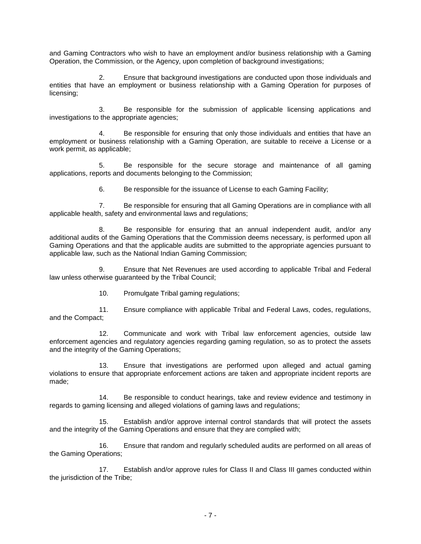and Gaming Contractors who wish to have an employment and/or business relationship with a Gaming Operation, the Commission, or the Agency, upon completion of background investigations;

2. Ensure that background investigations are conducted upon those individuals and entities that have an employment or business relationship with a Gaming Operation for purposes of licensing;

3. Be responsible for the submission of applicable licensing applications and investigations to the appropriate agencies;

4. Be responsible for ensuring that only those individuals and entities that have an employment or business relationship with a Gaming Operation, are suitable to receive a License or a work permit, as applicable;

5. Be responsible for the secure storage and maintenance of all gaming applications, reports and documents belonging to the Commission;

6. Be responsible for the issuance of License to each Gaming Facility;

7. Be responsible for ensuring that all Gaming Operations are in compliance with all applicable health, safety and environmental laws and regulations;

8. Be responsible for ensuring that an annual independent audit, and/or any additional audits of the Gaming Operations that the Commission deems necessary, is performed upon all Gaming Operations and that the applicable audits are submitted to the appropriate agencies pursuant to applicable law, such as the National Indian Gaming Commission;

9. Ensure that Net Revenues are used according to applicable Tribal and Federal law unless otherwise guaranteed by the Tribal Council;

10. Promulgate Tribal gaming regulations;

11. Ensure compliance with applicable Tribal and Federal Laws, codes, regulations, and the Compact;

12. Communicate and work with Tribal law enforcement agencies, outside law enforcement agencies and regulatory agencies regarding gaming regulation, so as to protect the assets and the integrity of the Gaming Operations;

13. Ensure that investigations are performed upon alleged and actual gaming violations to ensure that appropriate enforcement actions are taken and appropriate incident reports are made;

14. Be responsible to conduct hearings, take and review evidence and testimony in regards to gaming licensing and alleged violations of gaming laws and regulations;

15. Establish and/or approve internal control standards that will protect the assets and the integrity of the Gaming Operations and ensure that they are complied with;

16. Ensure that random and regularly scheduled audits are performed on all areas of the Gaming Operations;

17. Establish and/or approve rules for Class II and Class III games conducted within the jurisdiction of the Tribe;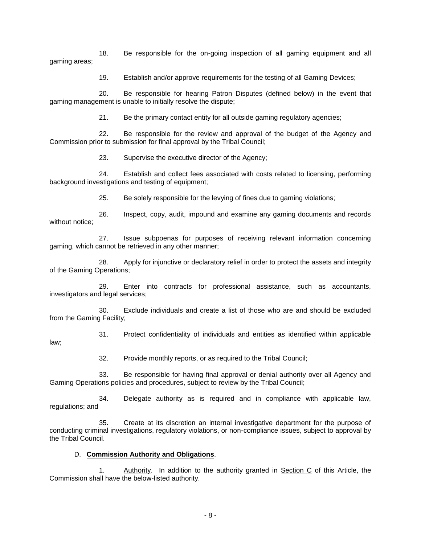18. Be responsible for the on-going inspection of all gaming equipment and all gaming areas;

19. Establish and/or approve requirements for the testing of all Gaming Devices;

20. Be responsible for hearing Patron Disputes (defined below) in the event that gaming management is unable to initially resolve the dispute;

21. Be the primary contact entity for all outside gaming regulatory agencies;

22. Be responsible for the review and approval of the budget of the Agency and Commission prior to submission for final approval by the Tribal Council;

23. Supervise the executive director of the Agency;

24. Establish and collect fees associated with costs related to licensing, performing background investigations and testing of equipment;

25. Be solely responsible for the levying of fines due to gaming violations;

26. Inspect, copy, audit, impound and examine any gaming documents and records without notice;

27. Issue subpoenas for purposes of receiving relevant information concerning gaming, which cannot be retrieved in any other manner;

28. Apply for injunctive or declaratory relief in order to protect the assets and integrity of the Gaming Operations;

29. Enter into contracts for professional assistance, such as accountants, investigators and legal services;

30. Exclude individuals and create a list of those who are and should be excluded from the Gaming Facility;

31. Protect confidentiality of individuals and entities as identified within applicable law;

32. Provide monthly reports, or as required to the Tribal Council;

33. Be responsible for having final approval or denial authority over all Agency and Gaming Operations policies and procedures, subject to review by the Tribal Council;

34. Delegate authority as is required and in compliance with applicable law, regulations; and

35. Create at its discretion an internal investigative department for the purpose of conducting criminal investigations, regulatory violations, or non-compliance issues, subject to approval by the Tribal Council.

#### D. **Commission Authority and Obligations**.

1. Authority. In addition to the authority granted in Section C of this Article, the Commission shall have the below-listed authority.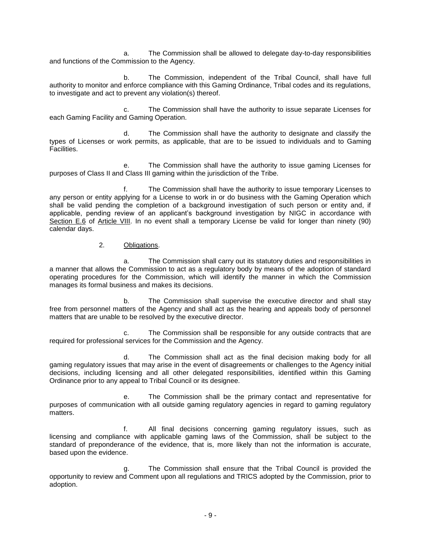a. The Commission shall be allowed to delegate day-to-day responsibilities and functions of the Commission to the Agency.

b. The Commission, independent of the Tribal Council, shall have full authority to monitor and enforce compliance with this Gaming Ordinance, Tribal codes and its regulations, to investigate and act to prevent any violation(s) thereof.

c. The Commission shall have the authority to issue separate Licenses for each Gaming Facility and Gaming Operation.

d. The Commission shall have the authority to designate and classify the types of Licenses or work permits, as applicable, that are to be issued to individuals and to Gaming Facilities.

e. The Commission shall have the authority to issue gaming Licenses for purposes of Class II and Class III gaming within the jurisdiction of the Tribe.

f. The Commission shall have the authority to issue temporary Licenses to any person or entity applying for a License to work in or do business with the Gaming Operation which shall be valid pending the completion of a background investigation of such person or entity and, if applicable, pending review of an applicant's background investigation by NIGC in accordance with Section E.6 of Article VIII. In no event shall a temporary License be valid for longer than ninety (90) calendar days.

#### 2. Obligations.

a. The Commission shall carry out its statutory duties and responsibilities in a manner that allows the Commission to act as a regulatory body by means of the adoption of standard operating procedures for the Commission, which will identify the manner in which the Commission manages its formal business and makes its decisions.

b. The Commission shall supervise the executive director and shall stay free from personnel matters of the Agency and shall act as the hearing and appeals body of personnel matters that are unable to be resolved by the executive director.

c. The Commission shall be responsible for any outside contracts that are required for professional services for the Commission and the Agency.

d. The Commission shall act as the final decision making body for all gaming regulatory issues that may arise in the event of disagreements or challenges to the Agency initial decisions, including licensing and all other delegated responsibilities, identified within this Gaming Ordinance prior to any appeal to Tribal Council or its designee.

e. The Commission shall be the primary contact and representative for purposes of communication with all outside gaming regulatory agencies in regard to gaming regulatory matters.

f. All final decisions concerning gaming regulatory issues, such as licensing and compliance with applicable gaming laws of the Commission, shall be subject to the standard of preponderance of the evidence, that is, more likely than not the information is accurate, based upon the evidence.

g. The Commission shall ensure that the Tribal Council is provided the opportunity to review and Comment upon all regulations and TRICS adopted by the Commission, prior to adoption.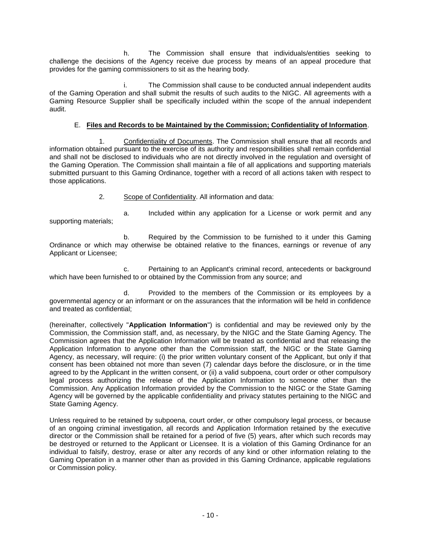h. The Commission shall ensure that individuals/entities seeking to challenge the decisions of the Agency receive due process by means of an appeal procedure that provides for the gaming commissioners to sit as the hearing body.

The Commission shall cause to be conducted annual independent audits of the Gaming Operation and shall submit the results of such audits to the NIGC. All agreements with a Gaming Resource Supplier shall be specifically included within the scope of the annual independent audit.

#### E. **Files and Records to be Maintained by the Commission; Confidentiality of Information**.

1. Confidentiality of Documents. The Commission shall ensure that all records and information obtained pursuant to the exercise of its authority and responsibilities shall remain confidential and shall not be disclosed to individuals who are not directly involved in the regulation and oversight of the Gaming Operation. The Commission shall maintain a file of all applications and supporting materials submitted pursuant to this Gaming Ordinance, together with a record of all actions taken with respect to those applications.

2. Scope of Confidentiality. All information and data:

a. Included within any application for a License or work permit and any supporting materials;

b. Required by the Commission to be furnished to it under this Gaming Ordinance or which may otherwise be obtained relative to the finances, earnings or revenue of any Applicant or Licensee;

c. Pertaining to an Applicant's criminal record, antecedents or background which have been furnished to or obtained by the Commission from any source; and

d. Provided to the members of the Commission or its employees by a governmental agency or an informant or on the assurances that the information will be held in confidence and treated as confidential;

(hereinafter, collectively "**Application Information**") is confidential and may be reviewed only by the Commission, the Commission staff, and, as necessary, by the NIGC and the State Gaming Agency. The Commission agrees that the Application Information will be treated as confidential and that releasing the Application Information to anyone other than the Commission staff, the NIGC or the State Gaming Agency, as necessary, will require: (i) the prior written voluntary consent of the Applicant, but only if that consent has been obtained not more than seven (7) calendar days before the disclosure, or in the time agreed to by the Applicant in the written consent, or (ii) a valid subpoena, court order or other compulsory legal process authorizing the release of the Application Information to someone other than the Commission. Any Application Information provided by the Commission to the NIGC or the State Gaming Agency will be governed by the applicable confidentiality and privacy statutes pertaining to the NIGC and State Gaming Agency.

Unless required to be retained by subpoena, court order, or other compulsory legal process, or because of an ongoing criminal investigation, all records and Application Information retained by the executive director or the Commission shall be retained for a period of five (5) years, after which such records may be destroyed or returned to the Applicant or Licensee. It is a violation of this Gaming Ordinance for an individual to falsify, destroy, erase or alter any records of any kind or other information relating to the Gaming Operation in a manner other than as provided in this Gaming Ordinance, applicable regulations or Commission policy.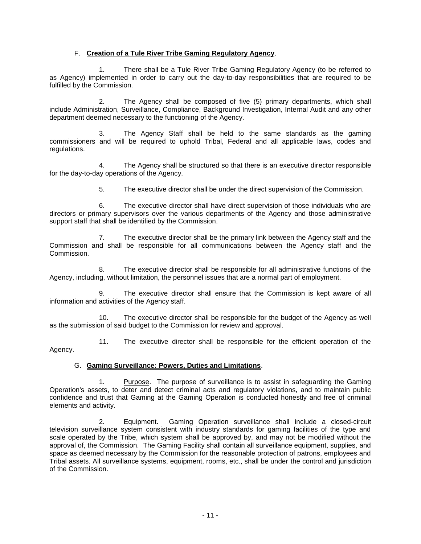#### F. **Creation of a Tule River Tribe Gaming Regulatory Agency**.

1. There shall be a Tule River Tribe Gaming Regulatory Agency (to be referred to as Agency) implemented in order to carry out the day-to-day responsibilities that are required to be fulfilled by the Commission.

2. The Agency shall be composed of five (5) primary departments, which shall include Administration, Surveillance, Compliance, Background Investigation, Internal Audit and any other department deemed necessary to the functioning of the Agency.

3. The Agency Staff shall be held to the same standards as the gaming commissioners and will be required to uphold Tribal, Federal and all applicable laws, codes and regulations.

4. The Agency shall be structured so that there is an executive director responsible for the day-to-day operations of the Agency.

5. The executive director shall be under the direct supervision of the Commission.

6. The executive director shall have direct supervision of those individuals who are directors or primary supervisors over the various departments of the Agency and those administrative support staff that shall be identified by the Commission.

7. The executive director shall be the primary link between the Agency staff and the Commission and shall be responsible for all communications between the Agency staff and the Commission.

8. The executive director shall be responsible for all administrative functions of the Agency, including, without limitation, the personnel issues that are a normal part of employment.

9. The executive director shall ensure that the Commission is kept aware of all information and activities of the Agency staff.

10. The executive director shall be responsible for the budget of the Agency as well as the submission of said budget to the Commission for review and approval.

11. The executive director shall be responsible for the efficient operation of the Agency.

#### G. **Gaming Surveillance: Powers, Duties and Limitations**.

1. Purpose. The purpose of surveillance is to assist in safeguarding the Gaming Operation's assets, to deter and detect criminal acts and regulatory violations, and to maintain public confidence and trust that Gaming at the Gaming Operation is conducted honestly and free of criminal elements and activity.

2. Equipment. Gaming Operation surveillance shall include a closed-circuit television surveillance system consistent with industry standards for gaming facilities of the type and scale operated by the Tribe, which system shall be approved by, and may not be modified without the approval of, the Commission. The Gaming Facility shall contain all surveillance equipment, supplies, and space as deemed necessary by the Commission for the reasonable protection of patrons, employees and Tribal assets. All surveillance systems, equipment, rooms, etc., shall be under the control and jurisdiction of the Commission.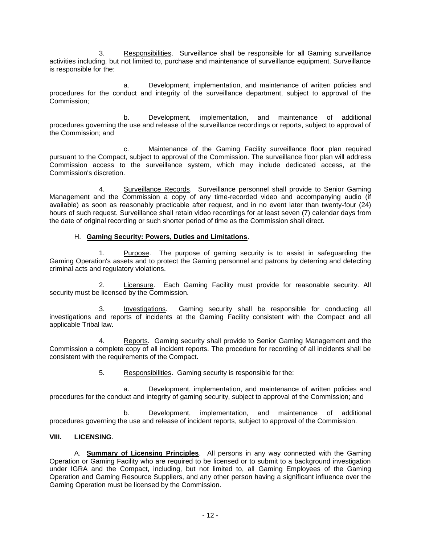3. Responsibilities. Surveillance shall be responsible for all Gaming surveillance activities including, but not limited to, purchase and maintenance of surveillance equipment. Surveillance is responsible for the:

a. Development, implementation, and maintenance of written policies and procedures for the conduct and integrity of the surveillance department, subject to approval of the Commission;

b. Development, implementation, and maintenance of additional procedures governing the use and release of the surveillance recordings or reports, subject to approval of the Commission; and

c. Maintenance of the Gaming Facility surveillance floor plan required pursuant to the Compact, subject to approval of the Commission. The surveillance floor plan will address Commission access to the surveillance system, which may include dedicated access, at the Commission's discretion.

4. Surveillance Records. Surveillance personnel shall provide to Senior Gaming Management and the Commission a copy of any time-recorded video and accompanying audio (if available) as soon as reasonably practicable after request, and in no event later than twenty-four (24) hours of such request. Surveillance shall retain video recordings for at least seven (7) calendar days from the date of original recording or such shorter period of time as the Commission shall direct.

#### H. **Gaming Security: Powers, Duties and Limitations**.

1. Purpose. The purpose of gaming security is to assist in safeguarding the Gaming Operation's assets and to protect the Gaming personnel and patrons by deterring and detecting criminal acts and regulatory violations.

2. Licensure. Each Gaming Facility must provide for reasonable security. All security must be licensed by the Commission.

3. Investigations. Gaming security shall be responsible for conducting all investigations and reports of incidents at the Gaming Facility consistent with the Compact and all applicable Tribal law.

4. Reports. Gaming security shall provide to Senior Gaming Management and the Commission a complete copy of all incident reports. The procedure for recording of all incidents shall be consistent with the requirements of the Compact.

5. Responsibilities. Gaming security is responsible for the:

a. Development, implementation, and maintenance of written policies and procedures for the conduct and integrity of gaming security, subject to approval of the Commission; and

b. Development, implementation, and maintenance of additional procedures governing the use and release of incident reports, subject to approval of the Commission.

#### **VIII. LICENSING**.

A. **Summary of Licensing Principles**. All persons in any way connected with the Gaming Operation or Gaming Facility who are required to be licensed or to submit to a background investigation under IGRA and the Compact, including, but not limited to, all Gaming Employees of the Gaming Operation and Gaming Resource Suppliers, and any other person having a significant influence over the Gaming Operation must be licensed by the Commission.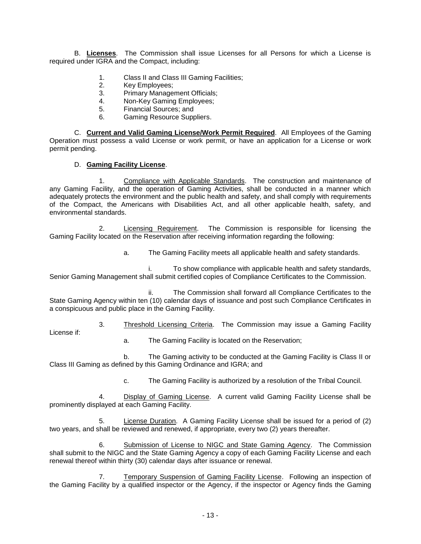B. **Licenses**. The Commission shall issue Licenses for all Persons for which a License is required under IGRA and the Compact, including:

- 1. Class II and Class III Gaming Facilities;
- 2. Key Employees;
- 3. Primary Management Officials;
- 4. Non-Key Gaming Employees;
- 5. Financial Sources; and
- 6. Gaming Resource Suppliers.

C. **Current and Valid Gaming License/Work Permit Required**. All Employees of the Gaming Operation must possess a valid License or work permit, or have an application for a License or work permit pending.

#### D. **Gaming Facility License**.

1. Compliance with Applicable Standards. The construction and maintenance of any Gaming Facility, and the operation of Gaming Activities, shall be conducted in a manner which adequately protects the environment and the public health and safety, and shall comply with requirements of the Compact, the Americans with Disabilities Act, and all other applicable health, safety, and environmental standards.

2. Licensing Requirement. The Commission is responsible for licensing the Gaming Facility located on the Reservation after receiving information regarding the following:

a. The Gaming Facility meets all applicable health and safety standards.

i. To show compliance with applicable health and safety standards, Senior Gaming Management shall submit certified copies of Compliance Certificates to the Commission.

ii. The Commission shall forward all Compliance Certificates to the State Gaming Agency within ten (10) calendar days of issuance and post such Compliance Certificates in a conspicuous and public place in the Gaming Facility.

3. Threshold Licensing Criteria. The Commission may issue a Gaming Facility License if:

a. The Gaming Facility is located on the Reservation;

b. The Gaming activity to be conducted at the Gaming Facility is Class II or Class III Gaming as defined by this Gaming Ordinance and IGRA; and

c. The Gaming Facility is authorized by a resolution of the Tribal Council.

Display of Gaming License. A current valid Gaming Facility License shall be prominently displayed at each Gaming Facility.

5. License Duration. A Gaming Facility License shall be issued for a period of (2) two years, and shall be reviewed and renewed, if appropriate, every two (2) years thereafter.

6. Submission of License to NIGC and State Gaming Agency. The Commission shall submit to the NIGC and the State Gaming Agency a copy of each Gaming Facility License and each renewal thereof within thirty (30) calendar days after issuance or renewal.

7. Temporary Suspension of Gaming Facility License. Following an inspection of the Gaming Facility by a qualified inspector or the Agency, if the inspector or Agency finds the Gaming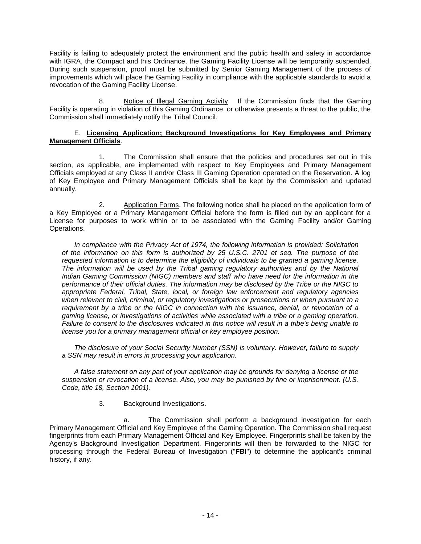Facility is failing to adequately protect the environment and the public health and safety in accordance with IGRA, the Compact and this Ordinance, the Gaming Facility License will be temporarily suspended. During such suspension, proof must be submitted by Senior Gaming Management of the process of improvements which will place the Gaming Facility in compliance with the applicable standards to avoid a revocation of the Gaming Facility License.

8. Notice of Illegal Gaming Activity. If the Commission finds that the Gaming Facility is operating in violation of this Gaming Ordinance, or otherwise presents a threat to the public, the Commission shall immediately notify the Tribal Council.

#### E. **Licensing Application; Background Investigations for Key Employees and Primary Management Officials**.

1. The Commission shall ensure that the policies and procedures set out in this section, as applicable, are implemented with respect to Key Employees and Primary Management Officials employed at any Class II and/or Class III Gaming Operation operated on the Reservation. A log of Key Employee and Primary Management Officials shall be kept by the Commission and updated annually.

2. Application Forms. The following notice shall be placed on the application form of a Key Employee or a Primary Management Official before the form is filled out by an applicant for a License for purposes to work within or to be associated with the Gaming Facility and/or Gaming Operations.

*In compliance with the Privacy Act of 1974, the following information is provided: Solicitation of the information on this form is authorized by 25 U.S.C. 2701 et seq. The purpose of the requested information is to determine the eligibility of individuals to be granted a gaming license.*  The information will be used by the Tribal gaming regulatory authorities and by the National *Indian Gaming Commission (NIGC) members and staff who have need for the information in the performance of their official duties. The information may be disclosed by the Tribe or the NIGC to appropriate Federal, Tribal, State, local, or foreign law enforcement and regulatory agencies when relevant to civil, criminal, or regulatory investigations or prosecutions or when pursuant to a requirement by a tribe or the NIGC in connection with the issuance, denial, or revocation of a gaming license, or investigations of activities while associated with a tribe or a gaming operation. Failure to consent to the disclosures indicated in this notice will result in a tribe's being unable to license you for a primary management official or key employee position.*

*The disclosure of your Social Security Number (SSN) is voluntary. However, failure to supply a SSN may result in errors in processing your application.*

*A false statement on any part of your application may be grounds for denying a license or the suspension or revocation of a license. Also, you may be punished by fine or imprisonment. (U.S. Code, title 18, Section 1001).*

#### 3. Background Investigations.

a. The Commission shall perform a background investigation for each Primary Management Official and Key Employee of the Gaming Operation. The Commission shall request fingerprints from each Primary Management Official and Key Employee. Fingerprints shall be taken by the Agency's Background Investigation Department. Fingerprints will then be forwarded to the NIGC for processing through the Federal Bureau of Investigation ("**FBI**") to determine the applicant's criminal history, if any.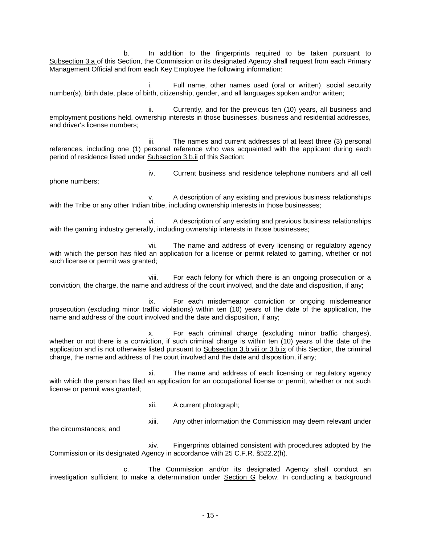b. In addition to the fingerprints required to be taken pursuant to Subsection 3.a of this Section, the Commission or its designated Agency shall request from each Primary Management Official and from each Key Employee the following information:

i. Full name, other names used (oral or written), social security number(s), birth date, place of birth, citizenship, gender, and all languages spoken and/or written;

ii. Currently, and for the previous ten (10) years, all business and employment positions held, ownership interests in those businesses, business and residential addresses, and driver's license numbers;

iii. The names and current addresses of at least three (3) personal references, including one (1) personal reference who was acquainted with the applicant during each period of residence listed under Subsection 3.b.ii of this Section:

iv. Current business and residence telephone numbers and all cell phone numbers;

v. A description of any existing and previous business relationships with the Tribe or any other Indian tribe, including ownership interests in those businesses;

vi. A description of any existing and previous business relationships with the gaming industry generally, including ownership interests in those businesses;

vii. The name and address of every licensing or regulatory agency with which the person has filed an application for a license or permit related to gaming, whether or not such license or permit was granted;

viii. For each felony for which there is an ongoing prosecution or a conviction, the charge, the name and address of the court involved, and the date and disposition, if any;

ix. For each misdemeanor conviction or ongoing misdemeanor prosecution (excluding minor traffic violations) within ten (10) years of the date of the application, the name and address of the court involved and the date and disposition, if any;

x. For each criminal charge (excluding minor traffic charges), whether or not there is a conviction, if such criminal charge is within ten (10) years of the date of the application and is not otherwise listed pursuant to Subsection 3.b.viii or 3.b.ix of this Section, the criminal charge, the name and address of the court involved and the date and disposition, if any;

xi. The name and address of each licensing or regulatory agency with which the person has filed an application for an occupational license or permit, whether or not such license or permit was granted;

xii. A current photograph;

xiii. Any other information the Commission may deem relevant under

the circumstances; and

xiv. Fingerprints obtained consistent with procedures adopted by the Commission or its designated Agency in accordance with 25 C.F.R. §522.2(h).

c. The Commission and/or its designated Agency shall conduct an investigation sufficient to make a determination under Section G below. In conducting a background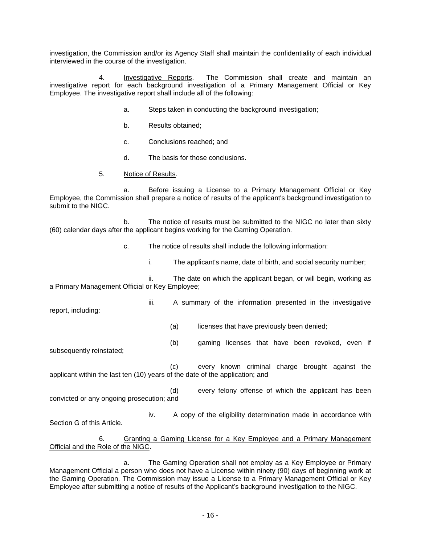investigation, the Commission and/or its Agency Staff shall maintain the confidentiality of each individual interviewed in the course of the investigation.

4. Investigative Reports. The Commission shall create and maintain an investigative report for each background investigation of a Primary Management Official or Key Employee. The investigative report shall include all of the following:

- a. Steps taken in conducting the background investigation;
- b. Results obtained;
- c. Conclusions reached; and
- d. The basis for those conclusions.
- 5. Notice of Results.

a. Before issuing a License to a Primary Management Official or Key Employee, the Commission shall prepare a notice of results of the applicant's background investigation to submit to the NIGC.

b. The notice of results must be submitted to the NIGC no later than sixty (60) calendar days after the applicant begins working for the Gaming Operation.

- c. The notice of results shall include the following information:
	- i. The applicant's name, date of birth, and social security number;

ii. The date on which the applicant began, or will begin, working as a Primary Management Official or Key Employee;

report, including:

- iii. A summary of the information presented in the investigative
	- (a) licenses that have previously been denied;
- (b) gaming licenses that have been revoked, even if subsequently reinstated;

(c) every known criminal charge brought against the applicant within the last ten (10) years of the date of the application; and

(d) every felony offense of which the applicant has been convicted or any ongoing prosecution; and

iv. A copy of the eligibility determination made in accordance with Section G of this Article.

#### 6. Granting a Gaming License for a Key Employee and a Primary Management Official and the Role of the NIGC.

a. The Gaming Operation shall not employ as a Key Employee or Primary Management Official a person who does not have a License within ninety (90) days of beginning work at the Gaming Operation. The Commission may issue a License to a Primary Management Official or Key Employee after submitting a notice of results of the Applicant's background investigation to the NIGC.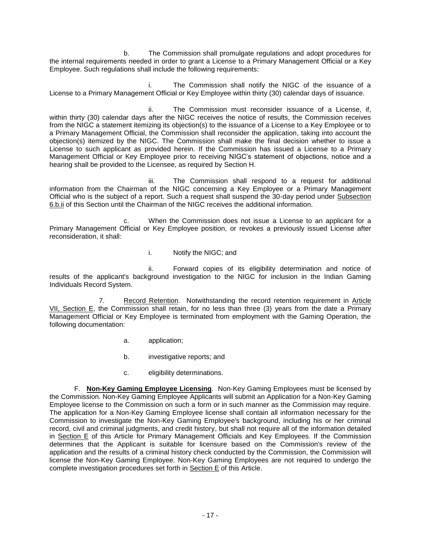b. The Commission shall promulgate regulations and adopt procedures for the internal requirements needed in order to grant a License to a Primary Management Official or a Key Employee. Such regulations shall include the following requirements:

The Commission shall notify the NIGC of the issuance of a License to a Primary Management Official or Key Employee within thirty (30) calendar days of issuance.

ii. The Commission must reconsider issuance of a License, if, within thirty (30) calendar days after the NIGC receives the notice of results, the Commission receives from the NIGC a statement itemizing its objection(s) to the issuance of a License to a Key Employee or to a Primary Management Official, the Commission shall reconsider the application, taking into account the objection(s) itemized by the NIGC. The Commission shall make the final decision whether to issue a License to such applicant as provided herein. If the Commission has issued a License to a Primary Management Official or Key Employee prior to receiving NIGC's statement of objections, notice and a hearing shall be provided to the Licensee, as required by Section H.

iii. The Commission shall respond to a request for additional information from the Chairman of the NIGC concerning a Key Employee or a Primary Management Official who is the subject of a report. Such a request shall suspend the 30-day period under Subsection 6.b.ii of this Section until the Chairman of the NIGC receives the additional information.

c. When the Commission does not issue a License to an applicant for a Primary Management Official or Key Employee position, or revokes a previously issued License after reconsideration, it shall:

i. Notify the NIGC; and

ii. Forward copies of its eligibility determination and notice of results of the applicant's background investigation to the NIGC for inclusion in the Indian Gaming Individuals Record System.

7. Record Retention. Notwithstanding the record retention requirement in Article VII, Section E, the Commission shall retain, for no less than three (3) years from the date a Primary Management Official or Key Employee is terminated from employment with the Gaming Operation, the following documentation:

- a. application;
- b. investigative reports; and
- c. eligibility determinations.

F. **Non-Key Gaming Employee Licensing**. Non-Key Gaming Employees must be licensed by the Commission. Non-Key Gaming Employee Applicants will submit an Application for a Non-Key Gaming Employee license to the Commission on such a form or in such manner as the Commission may require. The application for a Non-Key Gaming Employee license shall contain all information necessary for the Commission to investigate the Non-Key Gaming Employee's background, including his or her criminal record, civil and criminal judgments, and credit history, but shall not require all of the information detailed in Section E of this Article for Primary Management Officials and Key Employees. If the Commission determines that the Applicant is suitable for licensure based on the Commission's review of the application and the results of a criminal history check conducted by the Commission, the Commission will license the Non-Key Gaming Employee. Non-Key Gaming Employees are not required to undergo the complete investigation procedures set forth in Section E of this Article.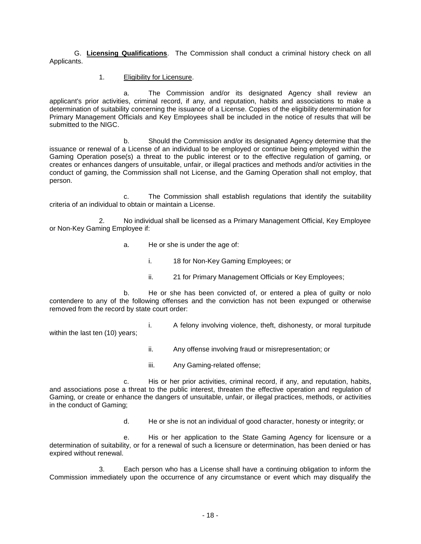G. **Licensing Qualifications**. The Commission shall conduct a criminal history check on all Applicants.

1. Eligibility for Licensure.

within the last ten (10) years;

a. The Commission and/or its designated Agency shall review an applicant's prior activities, criminal record, if any, and reputation, habits and associations to make a determination of suitability concerning the issuance of a License. Copies of the eligibility determination for Primary Management Officials and Key Employees shall be included in the notice of results that will be submitted to the NIGC.

b. Should the Commission and/or its designated Agency determine that the issuance or renewal of a License of an individual to be employed or continue being employed within the Gaming Operation pose(s) a threat to the public interest or to the effective regulation of gaming, or creates or enhances dangers of unsuitable, unfair, or illegal practices and methods and/or activities in the conduct of gaming, the Commission shall not License, and the Gaming Operation shall not employ, that person.

c. The Commission shall establish regulations that identify the suitability criteria of an individual to obtain or maintain a License.

2. No individual shall be licensed as a Primary Management Official, Key Employee or Non-Key Gaming Employee if:

- a. He or she is under the age of:
	- i. 18 for Non-Key Gaming Employees; or
	- ii. 21 for Primary Management Officials or Key Employees;

b. He or she has been convicted of, or entered a plea of guilty or nolo contendere to any of the following offenses and the conviction has not been expunged or otherwise removed from the record by state court order:

- i. A felony involving violence, theft, dishonesty, or moral turpitude
- ii. Any offense involving fraud or misrepresentation; or
- iii. Any Gaming-related offense;

c. His or her prior activities, criminal record, if any, and reputation, habits, and associations pose a threat to the public interest, threaten the effective operation and regulation of Gaming, or create or enhance the dangers of unsuitable, unfair, or illegal practices, methods, or activities in the conduct of Gaming;

d. He or she is not an individual of good character, honesty or integrity; or

e. His or her application to the State Gaming Agency for licensure or a determination of suitability, or for a renewal of such a licensure or determination, has been denied or has expired without renewal.

3. Each person who has a License shall have a continuing obligation to inform the Commission immediately upon the occurrence of any circumstance or event which may disqualify the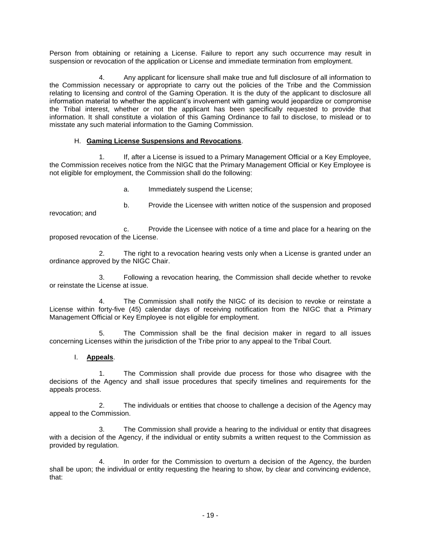Person from obtaining or retaining a License. Failure to report any such occurrence may result in suspension or revocation of the application or License and immediate termination from employment.

4. Any applicant for licensure shall make true and full disclosure of all information to the Commission necessary or appropriate to carry out the policies of the Tribe and the Commission relating to licensing and control of the Gaming Operation. It is the duty of the applicant to disclosure all information material to whether the applicant's involvement with gaming would jeopardize or compromise the Tribal interest, whether or not the applicant has been specifically requested to provide that information. It shall constitute a violation of this Gaming Ordinance to fail to disclose, to mislead or to misstate any such material information to the Gaming Commission.

#### H. **Gaming License Suspensions and Revocations**.

1. If, after a License is issued to a Primary Management Official or a Key Employee, the Commission receives notice from the NIGC that the Primary Management Official or Key Employee is not eligible for employment, the Commission shall do the following:

a. Immediately suspend the License;

b. Provide the Licensee with written notice of the suspension and proposed revocation; and

c. Provide the Licensee with notice of a time and place for a hearing on the proposed revocation of the License.

2. The right to a revocation hearing vests only when a License is granted under an ordinance approved by the NIGC Chair.

3. Following a revocation hearing, the Commission shall decide whether to revoke or reinstate the License at issue.

The Commission shall notify the NIGC of its decision to revoke or reinstate a License within forty-five (45) calendar days of receiving notification from the NIGC that a Primary Management Official or Key Employee is not eligible for employment.

5. The Commission shall be the final decision maker in regard to all issues concerning Licenses within the jurisdiction of the Tribe prior to any appeal to the Tribal Court.

#### I. **Appeals**.

1. The Commission shall provide due process for those who disagree with the decisions of the Agency and shall issue procedures that specify timelines and requirements for the appeals process.

2. The individuals or entities that choose to challenge a decision of the Agency may appeal to the Commission.

3. The Commission shall provide a hearing to the individual or entity that disagrees with a decision of the Agency, if the individual or entity submits a written request to the Commission as provided by regulation.

4. In order for the Commission to overturn a decision of the Agency, the burden shall be upon; the individual or entity requesting the hearing to show, by clear and convincing evidence, that: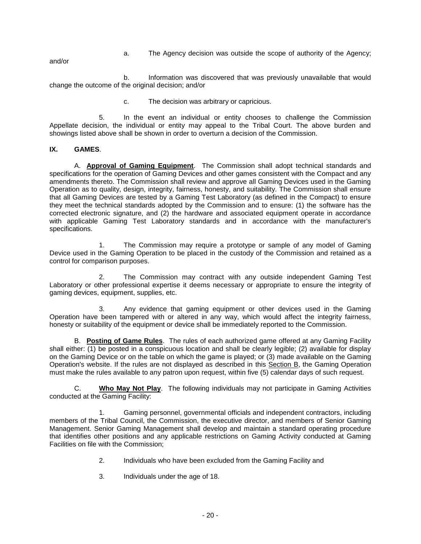a. The Agency decision was outside the scope of authority of the Agency;

and/or

b. Information was discovered that was previously unavailable that would change the outcome of the original decision; and/or

c. The decision was arbitrary or capricious.

5. In the event an individual or entity chooses to challenge the Commission Appellate decision, the individual or entity may appeal to the Tribal Court. The above burden and showings listed above shall be shown in order to overturn a decision of the Commission.

#### **IX. GAMES**.

A. **Approval of Gaming Equipment**. The Commission shall adopt technical standards and specifications for the operation of Gaming Devices and other games consistent with the Compact and any amendments thereto. The Commission shall review and approve all Gaming Devices used in the Gaming Operation as to quality, design, integrity, fairness, honesty, and suitability. The Commission shall ensure that all Gaming Devices are tested by a Gaming Test Laboratory (as defined in the Compact) to ensure they meet the technical standards adopted by the Commission and to ensure: (1) the software has the corrected electronic signature, and (2) the hardware and associated equipment operate in accordance with applicable Gaming Test Laboratory standards and in accordance with the manufacturer's specifications.

1. The Commission may require a prototype or sample of any model of Gaming Device used in the Gaming Operation to be placed in the custody of the Commission and retained as a control for comparison purposes.

2. The Commission may contract with any outside independent Gaming Test Laboratory or other professional expertise it deems necessary or appropriate to ensure the integrity of gaming devices, equipment, supplies, etc.

3. Any evidence that gaming equipment or other devices used in the Gaming Operation have been tampered with or altered in any way, which would affect the integrity fairness, honesty or suitability of the equipment or device shall be immediately reported to the Commission.

B. **Posting of Game Rules**. The rules of each authorized game offered at any Gaming Facility shall either: (1) be posted in a conspicuous location and shall be clearly legible; (2) available for display on the Gaming Device or on the table on which the game is played; or (3) made available on the Gaming Operation's website. If the rules are not displayed as described in this Section B, the Gaming Operation must make the rules available to any patron upon request, within five (5) calendar days of such request.

C. **Who May Not Play**. The following individuals may not participate in Gaming Activities conducted at the Gaming Facility:

1. Gaming personnel, governmental officials and independent contractors, including members of the Tribal Council, the Commission, the executive director, and members of Senior Gaming Management. Senior Gaming Management shall develop and maintain a standard operating procedure that identifies other positions and any applicable restrictions on Gaming Activity conducted at Gaming Facilities on file with the Commission;

- 2. Individuals who have been excluded from the Gaming Facility and
- 3. Individuals under the age of 18.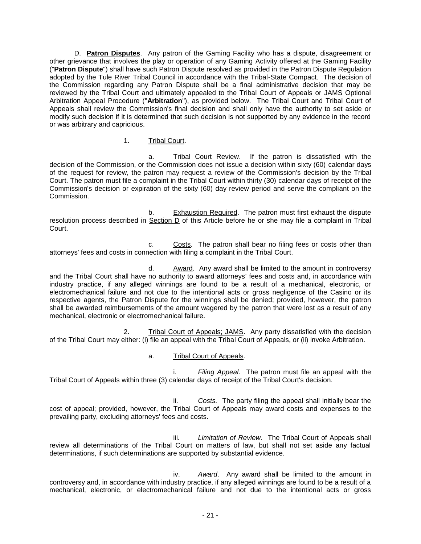D. **Patron Disputes**. Any patron of the Gaming Facility who has a dispute, disagreement or other grievance that involves the play or operation of any Gaming Activity offered at the Gaming Facility ("**Patron Dispute**") shall have such Patron Dispute resolved as provided in the Patron Dispute Regulation adopted by the Tule River Tribal Council in accordance with the Tribal-State Compact. The decision of the Commission regarding any Patron Dispute shall be a final administrative decision that may be reviewed by the Tribal Court and ultimately appealed to the Tribal Court of Appeals or JAMS Optional Arbitration Appeal Procedure ("**Arbitration**"), as provided below. The Tribal Court and Tribal Court of Appeals shall review the Commission's final decision and shall only have the authority to set aside or modify such decision if it is determined that such decision is not supported by any evidence in the record or was arbitrary and capricious.

#### 1. Tribal Court.

a. Tribal Court Review. If the patron is dissatisfied with the decision of the Commission, or the Commission does not issue a decision within sixty (60) calendar days of the request for review, the patron may request a review of the Commission's decision by the Tribal Court. The patron must file a complaint in the Tribal Court within thirty (30) calendar days of receipt of the Commission's decision or expiration of the sixty (60) day review period and serve the compliant on the Commission.

b. Exhaustion Required. The patron must first exhaust the dispute resolution process described in Section D of this Article before he or she may file a complaint in Tribal Court.

c. Costs*.* The patron shall bear no filing fees or costs other than attorneys' fees and costs in connection with filing a complaint in the Tribal Court.

d. Award. Any award shall be limited to the amount in controversy and the Tribal Court shall have no authority to award attorneys' fees and costs and, in accordance with industry practice, if any alleged winnings are found to be a result of a mechanical, electronic, or electromechanical failure and not due to the intentional acts or gross negligence of the Casino or its respective agents, the Patron Dispute for the winnings shall be denied; provided, however, the patron shall be awarded reimbursements of the amount wagered by the patron that were lost as a result of any mechanical, electronic or electromechanical failure.

2. Tribal Court of Appeals; JAMS. Any party dissatisfied with the decision of the Tribal Court may either: (i) file an appeal with the Tribal Court of Appeals, or (ii) invoke Arbitration.

#### a. Tribal Court of Appeals.

i. *Filing Appeal*. The patron must file an appeal with the Tribal Court of Appeals within three (3) calendar days of receipt of the Tribal Court's decision.

ii. *Costs.* The party filing the appeal shall initially bear the cost of appeal; provided, however, the Tribal Court of Appeals may award costs and expenses to the prevailing party, excluding attorneys' fees and costs.

iii. *Limitation of Review*. The Tribal Court of Appeals shall review all determinations of the Tribal Court on matters of law, but shall not set aside any factual determinations, if such determinations are supported by substantial evidence.

iv. *Award*. Any award shall be limited to the amount in controversy and, in accordance with industry practice, if any alleged winnings are found to be a result of a mechanical, electronic, or electromechanical failure and not due to the intentional acts or gross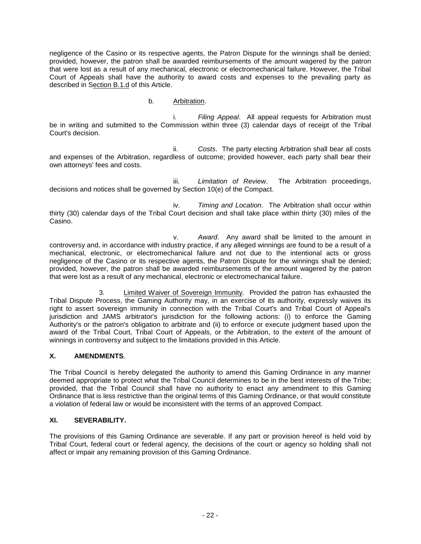negligence of the Casino or its respective agents, the Patron Dispute for the winnings shall be denied; provided, however, the patron shall be awarded reimbursements of the amount wagered by the patron that were lost as a result of any mechanical, electronic or electromechanical failure. However, the Tribal Court of Appeals shall have the authority to award costs and expenses to the prevailing party as described in Section B.1.d of this Article.

#### b. Arbitration.

i. *Filing Appeal*. All appeal requests for Arbitration must be in writing and submitted to the Commission within three (3) calendar days of receipt of the Tribal Court's decision.

ii. *Costs*. The party electing Arbitration shall bear all costs and expenses of the Arbitration, regardless of outcome; provided however, each party shall bear their own attorneys' fees and costs.

iii. *Limitation of Review*. The Arbitration proceedings, decisions and notices shall be governed by Section 10(e) of the Compact.

iv. *Timing and Location*. The Arbitration shall occur within thirty (30) calendar days of the Tribal Court decision and shall take place within thirty (30) miles of the Casino.

v. *Award*. Any award shall be limited to the amount in controversy and, in accordance with industry practice, if any alleged winnings are found to be a result of a mechanical, electronic, or electromechanical failure and not due to the intentional acts or gross negligence of the Casino or its respective agents, the Patron Dispute for the winnings shall be denied; provided, however, the patron shall be awarded reimbursements of the amount wagered by the patron that were lost as a result of any mechanical, electronic or electromechanical failure.

3. Limited Waiver of Sovereign Immunity. Provided the patron has exhausted the Tribal Dispute Process, the Gaming Authority may, in an exercise of its authority, expressly waives its right to assert sovereign immunity in connection with the Tribal Court's and Tribal Court of Appeal's jurisdiction and JAMS arbitrator's jurisdiction for the following actions: (i) to enforce the Gaming Authority's or the patron's obligation to arbitrate and (ii) to enforce or execute judgment based upon the award of the Tribal Court, Tribal Court of Appeals, or the Arbitration, to the extent of the amount of winnings in controversy and subject to the limitations provided in this Article.

#### **X. AMENDMENTS**.

The Tribal Council is hereby delegated the authority to amend this Gaming Ordinance in any manner deemed appropriate to protect what the Tribal Council determines to be in the best interests of the Tribe; provided, that the Tribal Council shall have no authority to enact any amendment to this Gaming Ordinance that is less restrictive than the original terms of this Gaming Ordinance, or that would constitute a violation of federal law or would be inconsistent with the terms of an approved Compact.

#### **XI. SEVERABILITY.**

The provisions of this Gaming Ordinance are severable. If any part or provision hereof is held void by Tribal Court, federal court or federal agency, the decisions of the court or agency so holding shall not affect or impair any remaining provision of this Gaming Ordinance.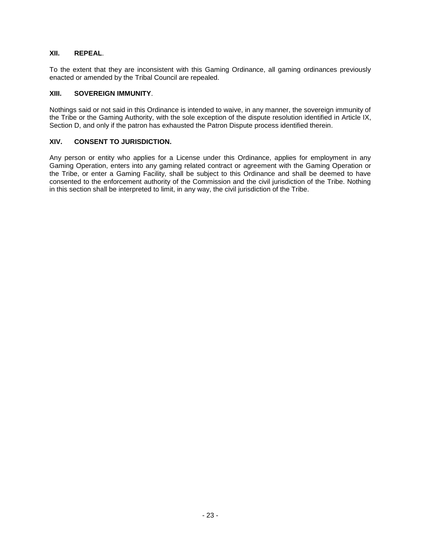#### **XII. REPEAL**.

To the extent that they are inconsistent with this Gaming Ordinance, all gaming ordinances previously enacted or amended by the Tribal Council are repealed.

#### **XIII. SOVEREIGN IMMUNITY**.

Nothings said or not said in this Ordinance is intended to waive, in any manner, the sovereign immunity of the Tribe or the Gaming Authority, with the sole exception of the dispute resolution identified in Article IX, Section D, and only if the patron has exhausted the Patron Dispute process identified therein.

#### **XIV. CONSENT TO JURISDICTION.**

Any person or entity who applies for a License under this Ordinance, applies for employment in any Gaming Operation, enters into any gaming related contract or agreement with the Gaming Operation or the Tribe, or enter a Gaming Facility, shall be subject to this Ordinance and shall be deemed to have consented to the enforcement authority of the Commission and the civil jurisdiction of the Tribe. Nothing in this section shall be interpreted to limit, in any way, the civil jurisdiction of the Tribe.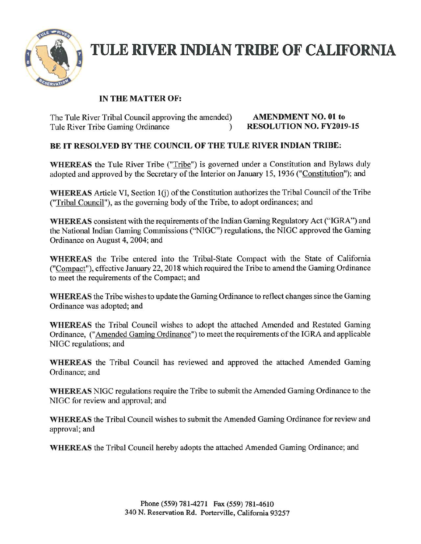

# **TULE RIVER INDIAN TRIBE OF CALIFORNIA**

### IN THE MATTER OF:

The Tule River Tribal Council approving the amended) **AMENDMENT NO. 01 to**<br>Tule River Tribe Gaming Ordinance **RESOLUTION NO. FY2019-15** Tule River Tribe Gaming Ordinance (1992)

### BE IT RESOLVED BY THE COUNCIL OF THE TULE RIVER INDIAN TRIBE:

WHEREAS the Tule River Tribe ("Tribe") is governed under a Constitution and Bylaws duly adopted and approved by the Secretary of the Interior on January 15, 1936 ("Constitution"): and

WHEREAS Article VI, Section  $1(i)$  of the Constitution authorizes the Tribal Council of the Tribe ("Tribal Council"), as the governing body ofthe Tribe, to adopt ordinances; and

WHEREAS consistent with the requirements of the Indian Gaming Regulatory Act ("IGRA") and the National Indian Gaming Commissions ("NIGC") regulations, the NIGC approved the Gaming Ordinance on August 4, 2004; and

WHEREAS the Tribe entered into the Tribal-State Compact with the State of California ("Compact"), effective January 22,2018 which required the Tribe to amend the Gaming Ordinance to meet the requirements of the Compact; and

WHEREAS the Tribe wishes to update the Gaming Ordinance to reflect changes since the Gaming Ordinance was adopted; and

WHEREAS the Tribal Council wishes to adopt the attached Amended and Restated Gaming Ordinance, ("Amended Gaming Ordinance") to meet the requirements ofthe IGRA and applicable NIGC regulations; and

WHEREAS the Tribal Council has reviewed and approved the attached Amended Gaming Ordinance; and

WHEREAS NIGC regulations require the Tribe to submit the Amended Gaming Ordinance to the NIGC for review and approval; and

WHEREAS the Tribal Council wishes to submit the Amended Gaming Ordinance for review and approval; and

WHEREAS the Tribal Council hereby adopts the attached Amended Gaming Ordinance; and